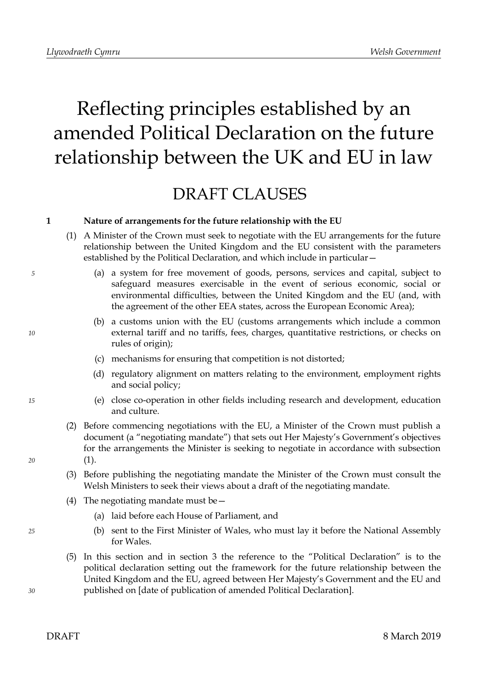# Reflecting principles established by an amended Political Declaration on the future relationship between the UK and EU in law

## DRAFT CLAUSES

### **1 Nature of arrangements for the future relationship with the EU**

- (1) A Minister of the Crown must seek to negotiate with the EU arrangements for the future relationship between the United Kingdom and the EU consistent with the parameters established by the Political Declaration, and which include in particular—
	- (a) a system for free movement of goods, persons, services and capital, subject to safeguard measures exercisable in the event of serious economic, social or environmental difficulties, between the United Kingdom and the EU (and, with the agreement of the other EEA states, across the European Economic Area);
	- (b) a customs union with the EU (customs arrangements which include a common external tariff and no tariffs, fees, charges, quantitative restrictions, or checks on rules of origin);
	- (c) mechanisms for ensuring that competition is not distorted;
	- (d) regulatory alignment on matters relating to the environment, employment rights and social policy;
	- (e) close co-operation in other fields including research and development, education and culture.
- (2) Before commencing negotiations with the EU, a Minister of the Crown must publish a document (a "negotiating mandate") that sets out Her Majesty's Government's objectives for the arrangements the Minister is seeking to negotiate in accordance with subsection (1).
- (3) Before publishing the negotiating mandate the Minister of the Crown must consult the Welsh Ministers to seek their views about a draft of the negotiating mandate.
- (4) The negotiating mandate must be  $-$ 
	- (a) laid before each House of Parliament, and
	- (b) sent to the First Minister of Wales, who must lay it before the National Assembly for Wales.
- (5) In this section and in section 3 the reference to the "Political Declaration" is to the political declaration setting out the framework for the future relationship between the United Kingdom and the EU, agreed between Her Majesty's Government and the EU and published on [date of publication of amended Political Declaration].

*5*

*10*

*15*

*20*

*25*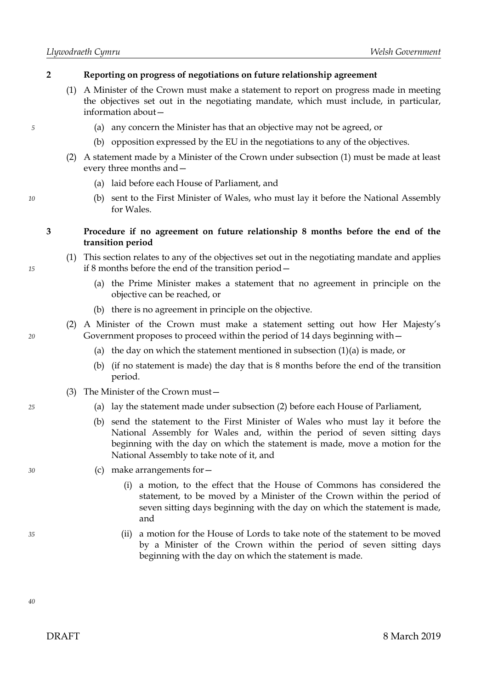#### **2 Reporting on progress of negotiations on future relationship agreement**

- (1) A Minister of the Crown must make a statement to report on progress made in meeting the objectives set out in the negotiating mandate, which must include, in particular, information about—
	- (a) any concern the Minister has that an objective may not be agreed, or
	- (b) opposition expressed by the EU in the negotiations to any of the objectives.
- (2) A statement made by a Minister of the Crown under subsection (1) must be made at least every three months and—
	- (a) laid before each House of Parliament, and
	- (b) sent to the First Minister of Wales, who must lay it before the National Assembly for Wales.

#### **3 Procedure if no agreement on future relationship 8 months before the end of the transition period**

- (1) This section relates to any of the objectives set out in the negotiating mandate and applies if 8 months before the end of the transition period—
	- (a) the Prime Minister makes a statement that no agreement in principle on the objective can be reached, or
	- (b) there is no agreement in principle on the objective.
- (2) A Minister of the Crown must make a statement setting out how Her Majesty's Government proposes to proceed within the period of 14 days beginning with—
	- (a) the day on which the statement mentioned in subsection  $(1)(a)$  is made, or
	- (b) (if no statement is made) the day that is 8 months before the end of the transition period.
	- (3) The Minister of the Crown must—
		- (a) lay the statement made under subsection (2) before each House of Parliament,
		- (b) send the statement to the First Minister of Wales who must lay it before the National Assembly for Wales and, within the period of seven sitting days beginning with the day on which the statement is made, move a motion for the National Assembly to take note of it, and
		- (c) make arrangements for—
			- (i) a motion, to the effect that the House of Commons has considered the statement, to be moved by a Minister of the Crown within the period of seven sitting days beginning with the day on which the statement is made, and
			- (ii) a motion for the House of Lords to take note of the statement to be moved by a Minister of the Crown within the period of seven sitting days beginning with the day on which the statement is made.

*5*

*20*

*15*

*30*

*35*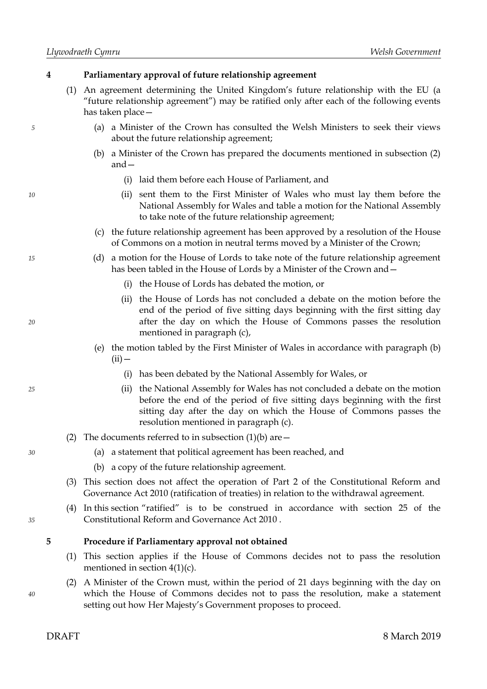*5*

*10*

*15*

*20*

*25*

*30*

*35*

#### **4 Parliamentary approval of future relationship agreement**

- (1) An agreement determining the United Kingdom's future relationship with the EU (a "future relationship agreement") may be ratified only after each of the following events has taken place—
	- (a) a Minister of the Crown has consulted the Welsh Ministers to seek their views about the future relationship agreement;
	- (b) a Minister of the Crown has prepared the documents mentioned in subsection (2) and—
		- (i) laid them before each House of Parliament, and
		- (ii) sent them to the First Minister of Wales who must lay them before the National Assembly for Wales and table a motion for the National Assembly to take note of the future relationship agreement;
	- (c) the future relationship agreement has been approved by a resolution of the House of Commons on a motion in neutral terms moved by a Minister of the Crown;
	- (d) a motion for the House of Lords to take note of the future relationship agreement has been tabled in the House of Lords by a Minister of the Crown and—
		- (i) the House of Lords has debated the motion, or
		- (ii) the House of Lords has not concluded a debate on the motion before the end of the period of five sitting days beginning with the first sitting day after the day on which the House of Commons passes the resolution mentioned in paragraph (c),
		- (e) the motion tabled by the First Minister of Wales in accordance with paragraph (b)  $(ii)$  —
			- (i) has been debated by the National Assembly for Wales, or
			- (ii) the National Assembly for Wales has not concluded a debate on the motion before the end of the period of five sitting days beginning with the first sitting day after the day on which the House of Commons passes the resolution mentioned in paragraph (c).
- (2) The documents referred to in subsection  $(1)(b)$  are  $-$ 
	- (a) a statement that political agreement has been reached, and
	- (b) a copy of the future relationship agreement.
- (3) This section does not affect the operation of Part 2 of the Constitutional Reform and Governance Act 2010 (ratification of treaties) in relation to the withdrawal agreement.
- (4) In this section "ratified" is to be construed in accordance with section 25 of the Constitutional Reform and Governance Act 2010 .

#### **5 Procedure if Parliamentary approval not obtained**

- (1) This section applies if the House of Commons decides not to pass the resolution mentioned in section 4(1)(c).
- (2) A Minister of the Crown must, within the period of 21 days beginning with the day on which the House of Commons decides not to pass the resolution, make a statement setting out how Her Majesty's Government proposes to proceed.